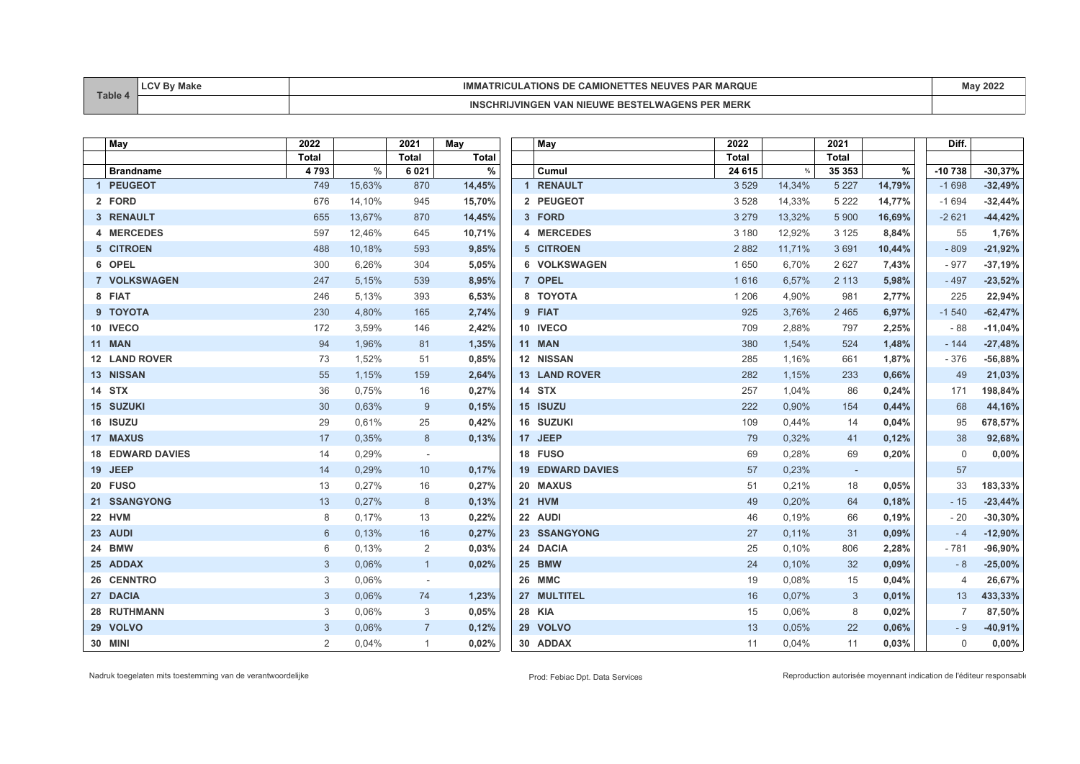| Table | Make | 1 N A I<br>. . v<br>.<br>ARUUE<br>◝▵◣<br>I RIGUL<br>IUN.<br><b>INIV</b> | 2022 |
|-------|------|-------------------------------------------------------------------------|------|
|       |      | $-0.7$<br><b>VAI</b><br>MІ<br>. I V *<br><b>NIERR</b>                   |      |

| May                     | 2022  |        | 2021           | May          | May                     | 2022         |        | 2021         |        | Diff.          |           |
|-------------------------|-------|--------|----------------|--------------|-------------------------|--------------|--------|--------------|--------|----------------|-----------|
|                         | Total |        | <b>Total</b>   | <b>Total</b> |                         | <b>Total</b> |        | <b>Total</b> |        |                |           |
| <b>Brandname</b>        | 4793  | %      | 6021           | $\%$         | Cumul                   | 24 615       | $\%$   | 35 353       | %      | $-10738$       | $-30,37%$ |
| 1 PEUGEOT               | 749   | 15,63% | 870            | 14,45%       | 1 RENAULT               | 3529         | 14,34% | 5 2 2 7      | 14,79% | $-1698$        | $-32,49%$ |
| 2 FORD                  | 676   | 14,10% | 945            | 15,70%       | 2 PEUGEOT               | 3528         | 14,33% | 5 2 2 2      | 14,77% | $-1694$        | $-32,44%$ |
| 3 RENAULT               | 655   | 13,67% | 870            | 14,45%       | 3 FORD                  | 3 2 7 9      | 13,32% | 5 9 0 0      | 16,69% | $-2621$        | $-44,42%$ |
| 4 MERCEDES              | 597   | 12,46% | 645            | 10,71%       | 4 MERCEDES              | 3 1 8 0      | 12,92% | 3 1 2 5      | 8,84%  | 55             | 1,76%     |
| 5 CITROEN               | 488   | 10,18% | 593            | 9,85%        | 5 CITROEN               | 2882         | 11,71% | 3691         | 10,44% | $-809$         | $-21,92%$ |
| 6 OPEL                  | 300   | 6,26%  | 304            | 5,05%        | 6 VOLKSWAGEN            | 1650         | 6,70%  | 2 6 2 7      | 7,43%  | $-977$         | $-37,19%$ |
| 7 VOLKSWAGEN            | 247   | 5,15%  | 539            | 8,95%        | 7 OPEL                  | 1616         | 6,57%  | 2 1 1 3      | 5,98%  | - 497          | $-23,52%$ |
| 8 FIAT                  | 246   | 5,13%  | 393            | 6,53%        | 8 TOYOTA                | 1 2 0 6      | 4,90%  | 981          | 2,77%  | 225            | 22,94%    |
| 9 TOYOTA                | 230   | 4,80%  | 165            | 2,74%        | 9 FIAT                  | 925          | 3,76%  | 2 4 6 5      | 6,97%  | $-1540$        | $-62,47%$ |
| 10 IVECO                | 172   | 3,59%  | 146            | 2,42%        | 10 IVECO                | 709          | 2,88%  | 797          | 2,25%  | $-88$          | $-11,04%$ |
| <b>11 MAN</b>           | 94    | 1,96%  | 81             | 1,35%        | <b>11 MAN</b>           | 380          | 1,54%  | 524          | 1,48%  | $-144$         | $-27,48%$ |
| 12 LAND ROVER           | 73    | 1,52%  | 51             | 0,85%        | 12 NISSAN               | 285          | 1,16%  | 661          | 1,87%  | $-376$         | $-56,88%$ |
| 13 NISSAN               | 55    | 1,15%  | 159            | 2,64%        | <b>13 LAND ROVER</b>    | 282          | 1,15%  | 233          | 0,66%  | 49             | 21,03%    |
| 14 STX                  | 36    | 0,75%  | 16             | 0,27%        | 14 STX                  | 257          | 1,04%  | 86           | 0,24%  | 171            | 198,84%   |
| 15 SUZUKI               | 30    | 0.63%  | 9              | 0.15%        | 15 ISUZU                | 222          | 0.90%  | 154          | 0,44%  | 68             | 44,16%    |
| 16 ISUZU                | 29    | 0,61%  | 25             | 0,42%        | 16 SUZUKI               | 109          | 0,44%  | 14           | 0,04%  | 95             | 678,57%   |
| <b>17 MAXUS</b>         | 17    | 0,35%  | 8              | 0,13%        | 17 JEEP                 | 79           | 0,32%  | 41           | 0,12%  | 38             | 92,68%    |
| <b>18 EDWARD DAVIES</b> | 14    | 0,29%  | $\sim$         |              | 18 FUSO                 | 69           | 0,28%  | 69           | 0,20%  | $\mathbf 0$    | 0,00%     |
| 19 JEEP                 | 14    | 0,29%  | 10             | 0,17%        | <b>19 EDWARD DAVIES</b> | 57           | 0,23%  | $\sim$       |        | 57             |           |
| 20 FUSO                 | 13    | 0,27%  | 16             | 0,27%        | 20 MAXUS                | 51           | 0,21%  | 18           | 0,05%  | 33             | 183,33%   |
| 21 SSANGYONG            | 13    | 0,27%  | 8              | 0,13%        | 21 HVM                  | 49           | 0,20%  | 64           | 0,18%  | $-15$          | $-23,44%$ |
| 22 HVM                  | 8     | 0,17%  | 13             | 0,22%        | 22 AUDI                 | 46           | 0,19%  | 66           | 0,19%  | $-20$          | $-30,30%$ |
| 23 AUDI                 | 6     | 0,13%  | 16             | 0,27%        | 23 SSANGYONG            | 27           | 0,11%  | 31           | 0,09%  | $-4$           | $-12,90%$ |
| 24 BMW                  | 6     | 0,13%  | 2              | 0,03%        | 24 DACIA                | 25           | 0,10%  | 806          | 2,28%  | $-781$         | $-96,90%$ |
| 25 ADDAX                | 3     | 0,06%  | $\mathbf{1}$   | 0,02%        | 25 BMW                  | 24           | 0,10%  | 32           | 0,09%  | $-8$           | $-25,00%$ |
| 26 CENNTRO              | 3     | 0,06%  | $\sim$         |              | 26 MMC                  | 19           | 0,08%  | 15           | 0,04%  | $\overline{4}$ | 26,67%    |
| 27 DACIA                | 3     | 0,06%  | 74             | 1,23%        | 27 MULTITEL             | 16           | 0,07%  | 3            | 0,01%  | 13             | 433,33%   |
| 28 RUTHMANN             | 3     | 0,06%  | 3              | 0.05%        | <b>28 KIA</b>           | 15           | 0,06%  | 8            | 0,02%  |                | 87,50%    |
| 29 VOLVO                | 3     | 0,06%  | $\overline{7}$ | 0,12%        | 29 VOLVO                | 13           | 0,05%  | 22           | 0,06%  | - 9            | $-40,91%$ |
| <b>30 MINI</b>          | 2     | 0,04%  | $\mathbf{1}$   | 0,02%        | 30 ADDAX                | 11           | 0,04%  | 11           | 0,03%  | $\Omega$       | $0,00\%$  |

Nadruk toegelaten mits toestemming van de verantwoordelijke enteredities and the verantwoordelijke prod: Febiac Dpt. Prod: Febiac Dpt. Data Services Reproduction autorisée moyennant indication de l'éditeur responsable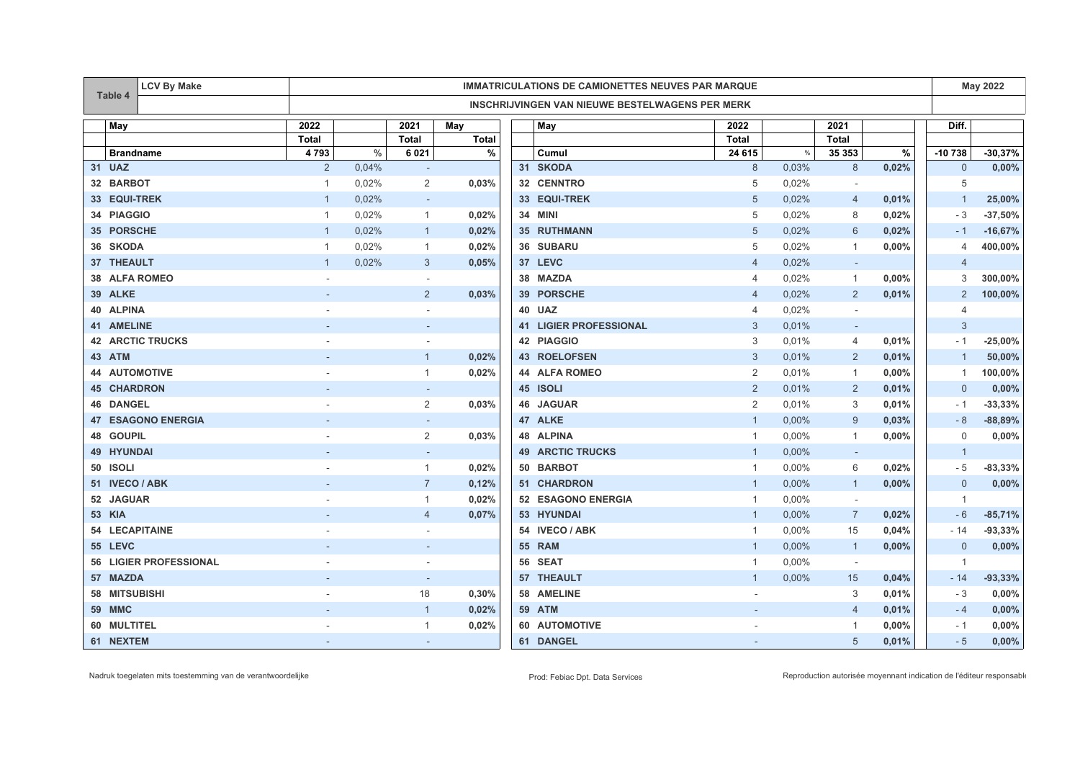|                 | <b>LCV By Make</b><br><b>IMMATRICULATIONS DE CAMIONETTES NEUVES PAR MARQUE</b> |                               |                                                        |       |                          |              | <b>May 2022</b> |                               |                |       |                          |       |                |           |
|-----------------|--------------------------------------------------------------------------------|-------------------------------|--------------------------------------------------------|-------|--------------------------|--------------|-----------------|-------------------------------|----------------|-------|--------------------------|-------|----------------|-----------|
|                 | Table 4                                                                        |                               | <b>INSCHRIJVINGEN VAN NIEUWE BESTELWAGENS PER MERK</b> |       |                          |              |                 |                               |                |       |                          |       |                |           |
|                 | May                                                                            |                               | 2022                                                   |       | 2021                     | May          |                 | May                           | 2022           |       | 2021                     |       | Diff.          |           |
|                 |                                                                                |                               | <b>Total</b>                                           |       | <b>Total</b>             | <b>Total</b> |                 |                               | <b>Total</b>   |       | Total                    |       |                |           |
|                 | <b>Brandname</b>                                                               |                               | 4793                                                   | $\%$  | 6 0 21                   | %            |                 | Cumul                         | 24 615         | $\%$  | 35 353                   | $\%$  | -10 738        | $-30,37%$ |
|                 | 31 UAZ                                                                         |                               | $\overline{2}$                                         | 0,04% | $\sim$                   |              |                 | 31 SKODA                      | 8              | 0,03% | 8                        | 0,02% | $\overline{0}$ | 0,00%     |
|                 | 32 BARBOT                                                                      |                               | $\overline{1}$                                         | 0,02% | $\overline{2}$           | 0,03%        |                 | 32 CENNTRO                    | 5              | 0,02% |                          |       | 5              |           |
|                 | 33 EQUI-TREK                                                                   |                               | $\overline{1}$                                         | 0,02% |                          |              |                 | 33 EQUI-TREK                  | 5              | 0,02% | $\overline{4}$           | 0,01% | -1             | 25,00%    |
|                 | 34 PIAGGIO                                                                     |                               | $\overline{1}$                                         | 0,02% | $\overline{1}$           | 0,02%        |                 | 34 MINI                       | 5              | 0,02% | 8                        | 0,02% | - 3            | $-37,50%$ |
| 35 <sub>1</sub> | <b>PORSCHE</b>                                                                 |                               | $\overline{1}$                                         | 0,02% | $\mathbf{1}$             | 0,02%        |                 | 35 RUTHMANN                   | 5              | 0,02% | 6                        | 0,02% | $-1$           | $-16,67%$ |
|                 | 36 SKODA                                                                       |                               | $\overline{1}$                                         | 0,02% | $\mathbf{1}$             | 0,02%        |                 | 36 SUBARU                     | 5              | 0,02% | $\mathbf{1}$             | 0,00% | $\overline{4}$ | 400,00%   |
|                 | 37 THEAULT                                                                     |                               | $\overline{1}$                                         | 0,02% | 3                        | 0,05%        |                 | 37 LEVC                       | $\overline{4}$ | 0,02% | $\sim$                   |       | $\overline{4}$ |           |
|                 |                                                                                | 38 ALFA ROMEO                 |                                                        |       | $\sim$                   |              |                 | 38 MAZDA                      | 4              | 0,02% | $\mathbf{1}$             | 0,00% | 3              | 300,00%   |
|                 | 39 ALKE                                                                        |                               |                                                        |       | $\overline{2}$           | 0,03%        | 39              | <b>PORSCHE</b>                | $\overline{4}$ | 0,02% | $\overline{2}$           | 0,01% | $\overline{2}$ | 100,00%   |
|                 | 40 ALPINA                                                                      |                               |                                                        |       |                          |              |                 | 40 UAZ                        | 4              | 0,02% | $\overline{\phantom{a}}$ |       | $\overline{4}$ |           |
|                 | <b>41 AMELINE</b>                                                              |                               |                                                        |       |                          |              |                 | <b>41 LIGIER PROFESSIONAL</b> | 3              | 0,01% | $\sim$                   |       | 3              |           |
| 42              |                                                                                | <b>ARCTIC TRUCKS</b>          |                                                        |       |                          |              |                 | 42 PIAGGIO                    | 3              | 0,01% | $\overline{4}$           | 0,01% | $-1$           | $-25,00%$ |
|                 | 43 ATM                                                                         |                               |                                                        |       | $\mathbf{1}$             | 0,02%        |                 | <b>43 ROELOFSEN</b>           | 3              | 0,01% | 2                        | 0,01% | $\overline{1}$ | 50,00%    |
| 44              |                                                                                | <b>AUTOMOTIVE</b>             |                                                        |       | $\mathbf{1}$             | 0,02%        |                 | <b>44 ALFA ROMEO</b>          | $\overline{2}$ | 0,01% | $\mathbf{1}$             | 0,00% | $\overline{1}$ | 100,00%   |
|                 | <b>45 CHARDRON</b>                                                             |                               |                                                        |       | $\overline{\phantom{a}}$ |              |                 | 45 ISOLI                      | 2              | 0,01% | $\overline{2}$           | 0,01% | $\mathbf 0$    | 0,00%     |
|                 | <b>46 DANGEL</b>                                                               |                               |                                                        |       | $\overline{2}$           | 0,03%        |                 | <b>46 JAGUAR</b>              | $\overline{2}$ | 0,01% | 3                        | 0,01% | $-1$           | $-33,33%$ |
|                 |                                                                                | <b>47 ESAGONO ENERGIA</b>     |                                                        |       | $\overline{a}$           |              |                 | 47 ALKE                       | $\mathbf{1}$   | 0,00% | 9                        | 0.03% | $-8$           | $-88,89%$ |
| 48              | <b>GOUPIL</b>                                                                  |                               |                                                        |       | 2                        | 0,03%        |                 | <b>48 ALPINA</b>              | $\mathbf{1}$   | 0,00% | $\mathbf{1}$             | 0,00% | 0              | 0,00%     |
|                 | 49 HYUNDAI                                                                     |                               |                                                        |       |                          |              |                 | <b>49 ARCTIC TRUCKS</b>       | $\mathbf{1}$   | 0,00% | $\sim$                   |       | $\overline{1}$ |           |
| 50              | <b>ISOLI</b>                                                                   |                               |                                                        |       | $\mathbf{1}$             | 0,02%        |                 | 50 BARBOT                     | $\mathbf{1}$   | 0,00% | 6                        | 0,02% | $-5$           | $-83,33%$ |
|                 | 51 IVECO / ABK                                                                 |                               |                                                        |       | $\overline{7}$           | 0,12%        |                 | 51 CHARDRON                   |                | 0,00% | $\overline{1}$           | 0,00% | $\mathbf{0}$   | 0,00%     |
| 52              | <b>JAGUAR</b>                                                                  |                               |                                                        |       | $\mathbf{1}$             | 0,02%        |                 | 52 ESAGONO ENERGIA            | $\mathbf 1$    | 0,00% | $\sim$                   |       | $\overline{1}$ |           |
|                 | <b>53 KIA</b>                                                                  |                               |                                                        |       | $\overline{4}$           | 0,07%        |                 | 53 HYUNDAI                    | $\mathbf{1}$   | 0,00% | $\overline{7}$           | 0,02% | $-6$           | $-85,71%$ |
|                 |                                                                                | <b>54 LECAPITAINE</b>         |                                                        |       |                          |              |                 | 54 IVECO / ABK                | 1              | 0,00% | 15                       | 0,04% | $-14$          | $-93,33%$ |
|                 | 55 LEVC                                                                        |                               |                                                        |       |                          |              |                 | 55 RAM                        | $\mathbf{1}$   | 0,00% | $\overline{1}$           | 0,00% | $\mathbf 0$    | 0,00%     |
|                 |                                                                                | <b>56 LIGIER PROFESSIONAL</b> |                                                        |       |                          |              |                 | 56 SEAT                       | 1              | 0,00% | $\sim$                   |       | -1             |           |
|                 | 57 MAZDA                                                                       |                               |                                                        |       |                          |              |                 | 57 THEAULT                    | $\mathbf{1}$   | 0,00% | 15                       | 0,04% | $-14$          | $-93,33%$ |
| 58              | <b>MITSUBISHI</b>                                                              |                               |                                                        |       | 18                       | 0,30%        |                 | 58 AMELINE                    |                |       | 3                        | 0,01% | - 3            | 0,00%     |
|                 | 59 MMC                                                                         |                               |                                                        |       | $\mathbf{1}$             | 0,02%        |                 | <b>59 ATM</b>                 | $\blacksquare$ |       | $\overline{4}$           | 0,01% | $-4$           | 0,00%     |
| 60              | <b>MULTITEL</b>                                                                |                               |                                                        |       | $\mathbf{1}$             | 0,02%        |                 | 60 AUTOMOTIVE                 |                |       |                          | 0,00% | - 1            | 0,00%     |
|                 | 61 NEXTEM                                                                      |                               |                                                        |       | $\overline{\phantom{a}}$ |              |                 | 61 DANGEL                     |                |       | 5                        | 0,01% | $-5$           | 0,00%     |

Nadruk toegelaten mits toestemming van de verantwoordelijke enteredities and the verantwoordelijke prod: Febiac Dpt. Prod: Febiac Dpt. Data Services Reproduction autorisée moyennant indication de l'éditeur responsable